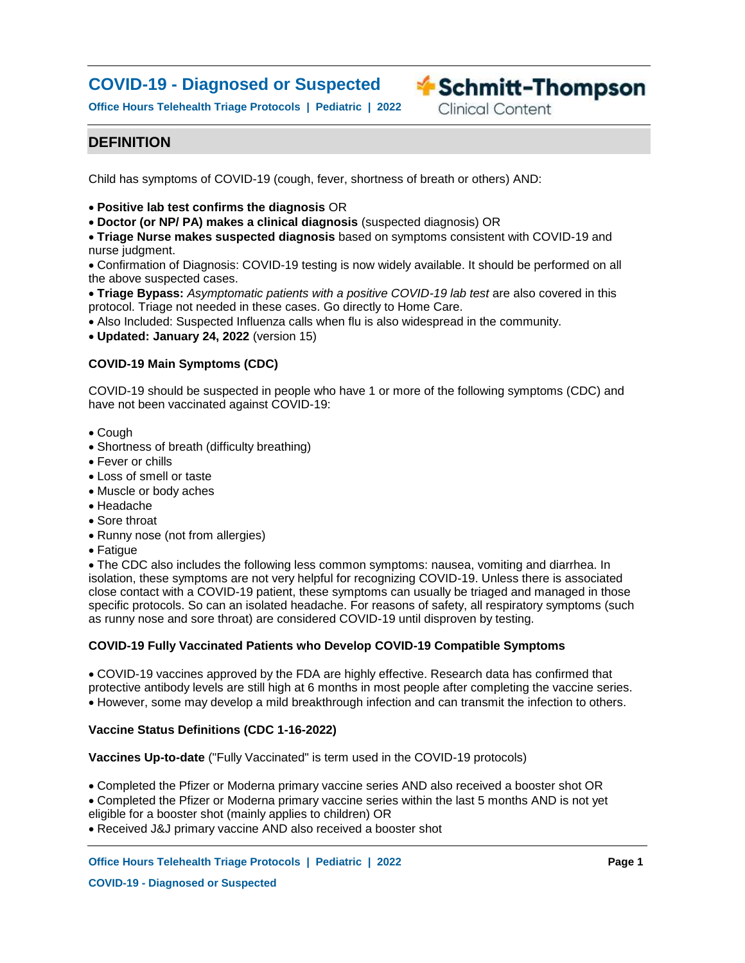# **COVID-19 - Diagnosed or Suspected**

**Office Hours Telehealth Triage Protocols | Pediatric | 2022**

**Exercise Schmitt-Thompson** 

**Clinical Content** 

## **DEFINITION**

Child has symptoms of COVID-19 (cough, fever, shortness of breath or others) AND:

**Positive lab test confirms the diagnosis** OR

**Doctor (or NP/ PA) makes a clinical diagnosis** (suspected diagnosis) OR

**Triage Nurse makes suspected diagnosis** based on symptoms consistent with COVID-19 and nurse judgment.

Confirmation of Diagnosis: COVID-19 testing is now widely available. It should be performed on all the above suspected cases.

**Triage Bypass:** *Asymptomatic patients with a positive COVID-19 lab test* are also covered in this protocol. Triage not needed in these cases. Go directly to Home Care.

- Also Included: Suspected Influenza calls when flu is also widespread in the community.
- **Updated: January 24, 2022** (version 15)

## **COVID-19 Main Symptoms (CDC)**

COVID-19 should be suspected in people who have 1 or more of the following symptoms (CDC) and have not been vaccinated against COVID-19:

- Cough
- Shortness of breath (difficulty breathing)
- Fever or chills
- Loss of smell or taste
- Muscle or body aches
- Headache
- Sore throat
- Runny nose (not from allergies)
- Fatigue

The CDC also includes the following less common symptoms: nausea, vomiting and diarrhea. In isolation, these symptoms are not very helpful for recognizing COVID-19. Unless there is associated close contact with a COVID-19 patient, these symptoms can usually be triaged and managed in those specific protocols. So can an isolated headache. For reasons of safety, all respiratory symptoms (such as runny nose and sore throat) are considered COVID-19 until disproven by testing.

### **COVID-19 Fully Vaccinated Patients who Develop COVID-19 Compatible Symptoms**

COVID-19 vaccines approved by the FDA are highly effective. Research data has confirmed that protective antibody levels are still high at 6 months in most people after completing the vaccine series. However, some may develop a mild breakthrough infection and can transmit the infection to others.

### **Vaccine Status Definitions (CDC 1-16-2022)**

**Vaccines Up-to-date** ("Fully Vaccinated" is term used in the COVID-19 protocols)

Completed the Pfizer or Moderna primary vaccine series AND also received a booster shot OR Completed the Pfizer or Moderna primary vaccine series within the last 5 months AND is not yet eligible for a booster shot (mainly applies to children) OR

Received J&J primary vaccine AND also received a booster shot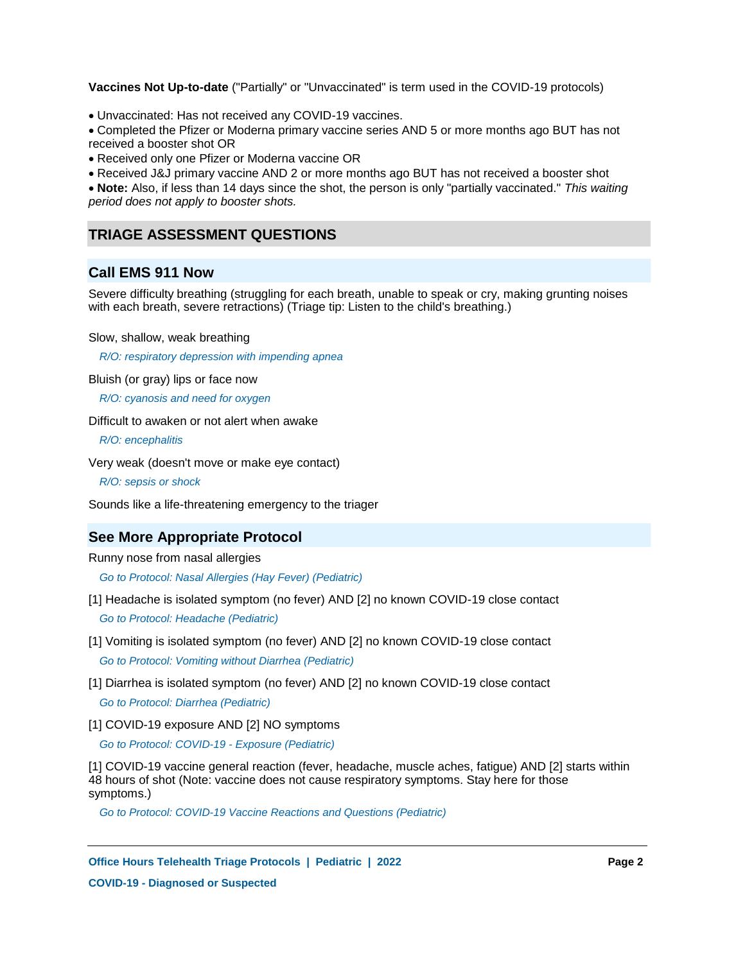**Vaccines Not Up-to-date** ("Partially" or "Unvaccinated" is term used in the COVID-19 protocols)

Unvaccinated: Has not received any COVID-19 vaccines.

Completed the Pfizer or Moderna primary vaccine series AND 5 or more months ago BUT has not received a booster shot OR

Received only one Pfizer or Moderna vaccine OR

Received J&J primary vaccine AND 2 or more months ago BUT has not received a booster shot

**Note:** Also, if less than 14 days since the shot, the person is only "partially vaccinated." *This waiting period does not apply to booster shots.*

## **TRIAGE ASSESSMENT QUESTIONS**

## **Call EMS 911 Now**

Severe difficulty breathing (struggling for each breath, unable to speak or cry, making grunting noises with each breath, severe retractions) (Triage tip: Listen to the child's breathing.)

Slow, shallow, weak breathing

*R/O: respiratory depression with impending apnea*

Bluish (or gray) lips or face now

*R/O: cyanosis and need for oxygen*

Difficult to awaken or not alert when awake

*R/O: encephalitis*

Very weak (doesn't move or make eye contact)

*R/O: sepsis or shock*

Sounds like a life-threatening emergency to the triager

## **See More Appropriate Protocol**

Runny nose from nasal allergies

*Go to Protocol: Nasal Allergies (Hay Fever) (Pediatric)*

- [1] Headache is isolated symptom (no fever) AND [2] no known COVID-19 close contact *Go to Protocol: Headache (Pediatric)*
- [1] Vomiting is isolated symptom (no fever) AND [2] no known COVID-19 close contact *Go to Protocol: Vomiting without Diarrhea (Pediatric)*
- [1] Diarrhea is isolated symptom (no fever) AND [2] no known COVID-19 close contact *Go to Protocol: Diarrhea (Pediatric)*
- [1] COVID-19 exposure AND [2] NO symptoms

*Go to Protocol: COVID-19 - Exposure (Pediatric)*

[1] COVID-19 vaccine general reaction (fever, headache, muscle aches, fatigue) AND [2] starts within 48 hours of shot (Note: vaccine does not cause respiratory symptoms. Stay here for those symptoms.)

*Go to Protocol: COVID-19 Vaccine Reactions and Questions (Pediatric)*

**Office Hours Telehealth Triage Protocols | Pediatric | 2022 Page 2 COVID-19 - Diagnosed or Suspected**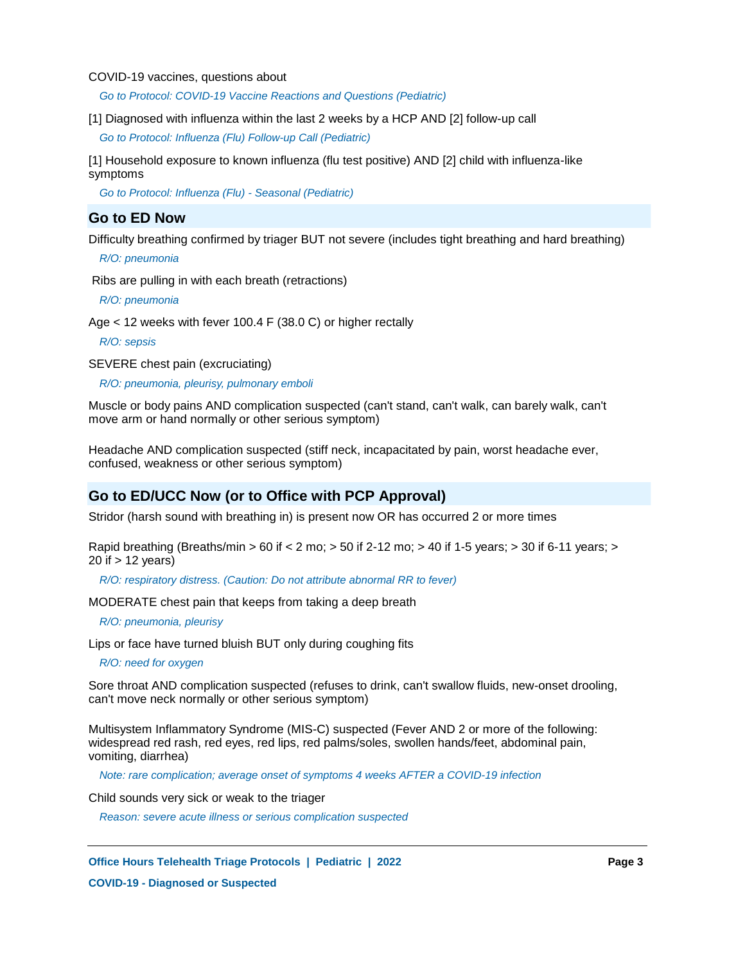COVID-19 vaccines, questions about

*Go to Protocol: COVID-19 Vaccine Reactions and Questions (Pediatric)*

[1] Diagnosed with influenza within the last 2 weeks by a HCP AND [2] follow-up call

*Go to Protocol: Influenza (Flu) Follow-up Call (Pediatric)*

[1] Household exposure to known influenza (flu test positive) AND [2] child with influenza-like symptoms

*Go to Protocol: Influenza (Flu) - Seasonal (Pediatric)*

## **Go to ED Now**

Difficulty breathing confirmed by triager BUT not severe (includes tight breathing and hard breathing)

*R/O: pneumonia*

Ribs are pulling in with each breath (retractions)

*R/O: pneumonia*

Age < 12 weeks with fever 100.4 F (38.0 C) or higher rectally

*R/O: sepsis*

SEVERE chest pain (excruciating)

 *R/O: pneumonia, pleurisy, pulmonary emboli*

Muscle or body pains AND complication suspected (can't stand, can't walk, can barely walk, can't move arm or hand normally or other serious symptom)

Headache AND complication suspected (stiff neck, incapacitated by pain, worst headache ever, confused, weakness or other serious symptom)

## **Go to ED/UCC Now (or to Office with PCP Approval)**

Stridor (harsh sound with breathing in) is present now OR has occurred 2 or more times

Rapid breathing (Breaths/min > 60 if < 2 mo; > 50 if 2-12 mo; > 40 if 1-5 years; > 30 if 6-11 years; > 20 if > 12 years)

*R/O: respiratory distress. (Caution: Do not attribute abnormal RR to fever)*

MODERATE chest pain that keeps from taking a deep breath

*R/O: pneumonia, pleurisy*

Lips or face have turned bluish BUT only during coughing fits

*R/O: need for oxygen*

Sore throat AND complication suspected (refuses to drink, can't swallow fluids, new-onset drooling, can't move neck normally or other serious symptom)

Multisystem Inflammatory Syndrome (MIS-C) suspected (Fever AND 2 or more of the following: widespread red rash, red eyes, red lips, red palms/soles, swollen hands/feet, abdominal pain, vomiting, diarrhea)

*Note: rare complication; average onset of symptoms 4 weeks AFTER a COVID-19 infection*

Child sounds very sick or weak to the triager

*Reason: severe acute illness or serious complication suspected*

**Office Hours Telehealth Triage Protocols | Pediatric | 2022 Page 3**

**COVID-19 - Diagnosed or Suspected**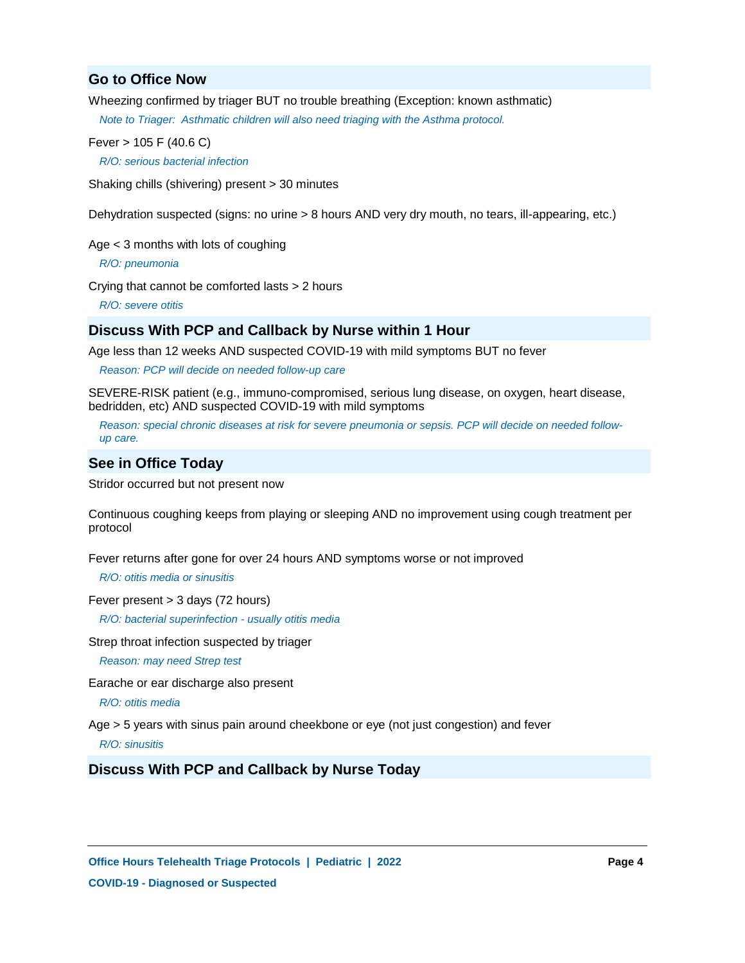## **Go to Office Now**

Wheezing confirmed by triager BUT no trouble breathing (Exception: known asthmatic)

*Note to Triager: Asthmatic children will also need triaging with the Asthma protocol.*

Fever > 105 F (40.6 C)

*R/O: serious bacterial infection*

Shaking chills (shivering) present > 30 minutes

Dehydration suspected (signs: no urine > 8 hours AND very dry mouth, no tears, ill-appearing, etc.)

Age < 3 months with lots of coughing

*R/O: pneumonia*

Crying that cannot be comforted lasts > 2 hours

*R/O: severe otitis*

## **Discuss With PCP and Callback by Nurse within 1 Hour**

Age less than 12 weeks AND suspected COVID-19 with mild symptoms BUT no fever

*Reason: PCP will decide on needed follow-up care*

SEVERE-RISK patient (e.g., immuno-compromised, serious lung disease, on oxygen, heart disease, bedridden, etc) AND suspected COVID-19 with mild symptoms

*Reason: special chronic diseases at risk for severe pneumonia or sepsis. PCP will decide on needed followup care.*

## **See in Office Today**

Stridor occurred but not present now

Continuous coughing keeps from playing or sleeping AND no improvement using cough treatment per protocol

Fever returns after gone for over 24 hours AND symptoms worse or not improved

 *R/O: otitis media or sinusitis*

Fever present > 3 days (72 hours)

*R/O: bacterial superinfection - usually otitis media*

Strep throat infection suspected by triager

*Reason: may need Strep test*

Earache or ear discharge also present

*R/O: otitis media*

Age > 5 years with sinus pain around cheekbone or eye (not just congestion) and fever

 *R/O: sinusitis*

## **Discuss With PCP and Callback by Nurse Today**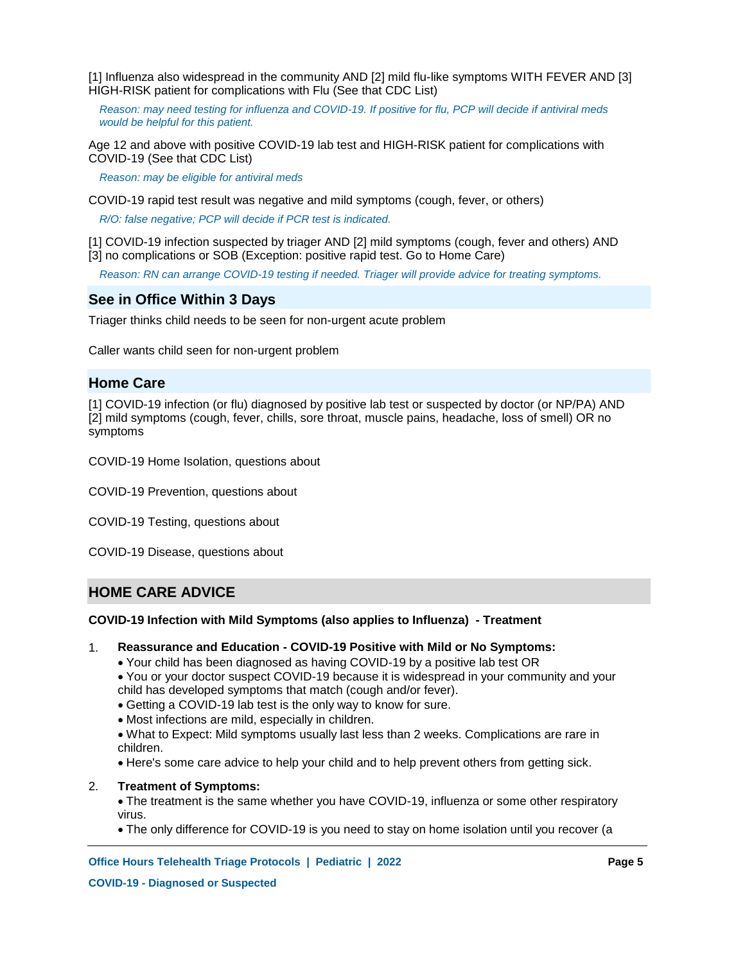[1] Influenza also widespread in the community AND [2] mild flu-like symptoms WITH FEVER AND [3] HIGH-RISK patient for complications with Flu (See that CDC List)

*Reason: may need testing for influenza and COVID-19. If positive for flu, PCP will decide if antiviral meds would be helpful for this patient.*

Age 12 and above with positive COVID-19 lab test and HIGH-RISK patient for complications with COVID-19 (See that CDC List)

*Reason: may be eligible for antiviral meds*

COVID-19 rapid test result was negative and mild symptoms (cough, fever, or others)

*R/O: false negative; PCP will decide if PCR test is indicated.*

[1] COVID-19 infection suspected by triager AND [2] mild symptoms (cough, fever and others) AND [3] no complications or SOB (Exception: positive rapid test. Go to Home Care)

*Reason: RN can arrange COVID-19 testing if needed. Triager will provide advice for treating symptoms.*

## **See in Office Within 3 Days**

Triager thinks child needs to be seen for non-urgent acute problem

Caller wants child seen for non-urgent problem

## **Home Care**

[1] COVID-19 infection (or flu) diagnosed by positive lab test or suspected by doctor (or NP/PA) AND [2] mild symptoms (cough, fever, chills, sore throat, muscle pains, headache, loss of smell) OR no symptoms

COVID-19 Home Isolation, questions about

COVID-19 Prevention, questions about

COVID-19 Testing, questions about

COVID-19 Disease, questions about

## **HOME CARE ADVICE**

### **COVID-19 Infection with Mild Symptoms (also applies to Influenza) - Treatment**

- **Reassurance and Education - COVID-19 Positive with Mild or No Symptoms:** 1.
	- Your child has been diagnosed as having COVID-19 by a positive lab test OR

You or your doctor suspect COVID-19 because it is widespread in your community and your child has developed symptoms that match (cough and/or fever).

- Getting a COVID-19 lab test is the only way to know for sure.
- Most infections are mild, especially in children.

What to Expect: Mild symptoms usually last less than 2 weeks. Complications are rare in children.

Here's some care advice to help your child and to help prevent others from getting sick.

#### **Treatment of Symptoms:** 2.

The treatment is the same whether you have COVID-19, influenza or some other respiratory virus.

The only difference for COVID-19 is you need to stay on home isolation until you recover (a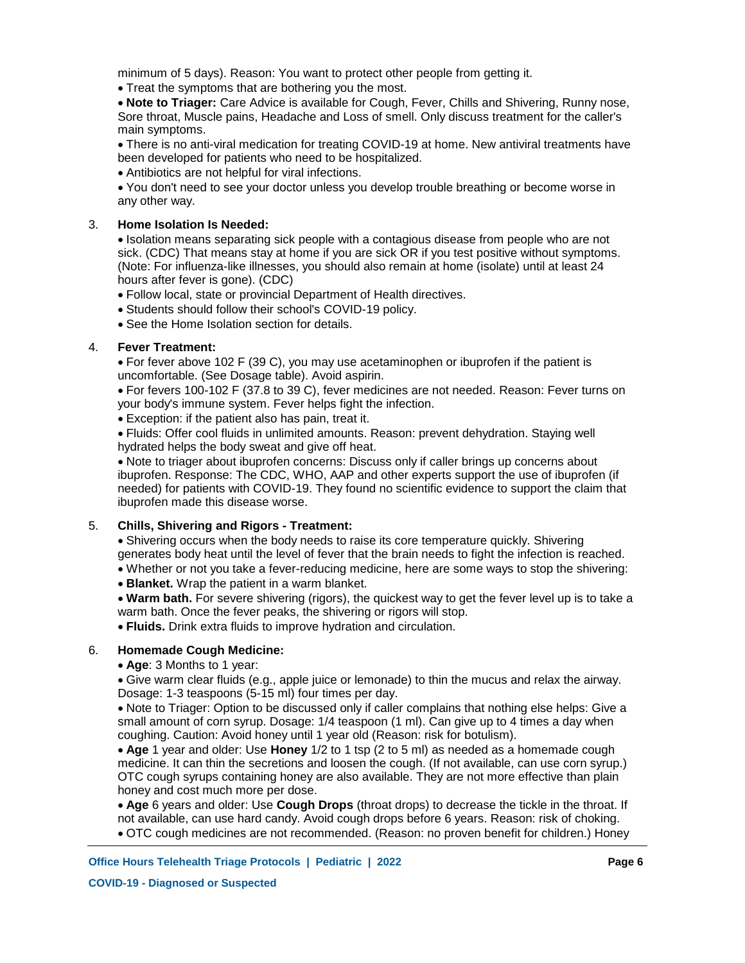minimum of 5 days). Reason: You want to protect other people from getting it.

Treat the symptoms that are bothering you the most.

**Note to Triager:** Care Advice is available for Cough, Fever, Chills and Shivering, Runny nose, Sore throat, Muscle pains, Headache and Loss of smell. Only discuss treatment for the caller's main symptoms.

There is no anti-viral medication for treating COVID-19 at home. New antiviral treatments have been developed for patients who need to be hospitalized.

Antibiotics are not helpful for viral infections.

You don't need to see your doctor unless you develop trouble breathing or become worse in any other way.

#### **Home Isolation Is Needed:** 3.

Isolation means separating sick people with a contagious disease from people who are not sick. (CDC) That means stay at home if you are sick OR if you test positive without symptoms. (Note: For influenza-like illnesses, you should also remain at home (isolate) until at least 24 hours after fever is gone). (CDC)

- Follow local, state or provincial Department of Health directives.
- Students should follow their school's COVID-19 policy.
- See the Home Isolation section for details.

#### **Fever Treatment:** 4.

For fever above 102 F (39 C), you may use acetaminophen or ibuprofen if the patient is uncomfortable. (See Dosage table). Avoid aspirin.

For fevers 100-102 F (37.8 to 39 C), fever medicines are not needed. Reason: Fever turns on your body's immune system. Fever helps fight the infection.

Exception: if the patient also has pain, treat it.

Fluids: Offer cool fluids in unlimited amounts. Reason: prevent dehydration. Staying well hydrated helps the body sweat and give off heat.

Note to triager about ibuprofen concerns: Discuss only if caller brings up concerns about ibuprofen. Response: The CDC, WHO, AAP and other experts support the use of ibuprofen (if needed) for patients with COVID-19. They found no scientific evidence to support the claim that ibuprofen made this disease worse.

#### **Chills, Shivering and Rigors - Treatment:** 5.

Shivering occurs when the body needs to raise its core temperature quickly. Shivering generates body heat until the level of fever that the brain needs to fight the infection is reached.

- Whether or not you take a fever-reducing medicine, here are some ways to stop the shivering:
- **Blanket.** Wrap the patient in a warm blanket.

**Warm bath.** For severe shivering (rigors), the quickest way to get the fever level up is to take a warm bath. Once the fever peaks, the shivering or rigors will stop.

**Fluids.** Drink extra fluids to improve hydration and circulation.

#### **Homemade Cough Medicine:** 6.

**Age**: 3 Months to 1 year:

Give warm clear fluids (e.g., apple juice or lemonade) to thin the mucus and relax the airway. Dosage: 1-3 teaspoons (5-15 ml) four times per day.

Note to Triager: Option to be discussed only if caller complains that nothing else helps: Give a small amount of corn syrup. Dosage: 1/4 teaspoon (1 ml). Can give up to 4 times a day when coughing. Caution: Avoid honey until 1 year old (Reason: risk for botulism).

**Age** 1 year and older: Use **Honey** 1/2 to 1 tsp (2 to 5 ml) as needed as a homemade cough medicine. It can thin the secretions and loosen the cough. (If not available, can use corn syrup.) OTC cough syrups containing honey are also available. They are not more effective than plain honey and cost much more per dose.

**Age** 6 years and older: Use **Cough Drops** (throat drops) to decrease the tickle in the throat. If not available, can use hard candy. Avoid cough drops before 6 years. Reason: risk of choking.

OTC cough medicines are not recommended. (Reason: no proven benefit for children.) Honey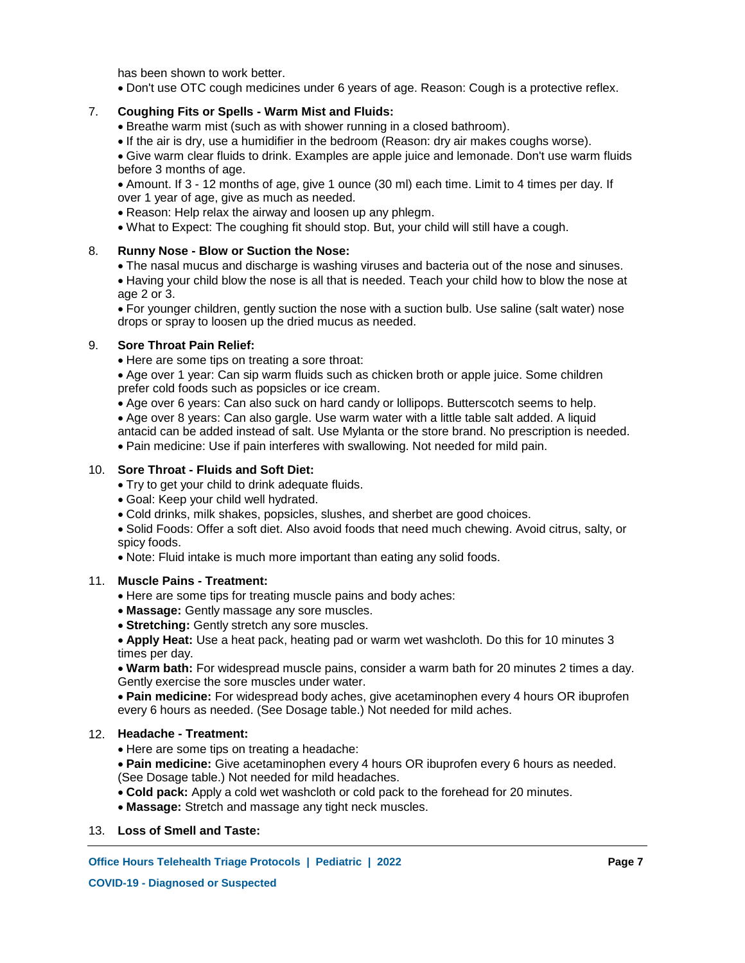has been shown to work better.

Don't use OTC cough medicines under 6 years of age. Reason: Cough is a protective reflex.

#### **Coughing Fits or Spells - Warm Mist and Fluids:** 7.

- Breathe warm mist (such as with shower running in a closed bathroom).
- If the air is dry, use a humidifier in the bedroom (Reason: dry air makes coughs worse).

Give warm clear fluids to drink. Examples are apple juice and lemonade. Don't use warm fluids before 3 months of age.

Amount. If 3 - 12 months of age, give 1 ounce (30 ml) each time. Limit to 4 times per day. If over 1 year of age, give as much as needed.

- Reason: Help relax the airway and loosen up any phlegm.
- What to Expect: The coughing fit should stop. But, your child will still have a cough.

#### **Runny Nose - Blow or Suction the Nose:** 8.

- The nasal mucus and discharge is washing viruses and bacteria out of the nose and sinuses.
- Having your child blow the nose is all that is needed. Teach your child how to blow the nose at age 2 or 3.

For younger children, gently suction the nose with a suction bulb. Use saline (salt water) nose drops or spray to loosen up the dried mucus as needed.

#### **Sore Throat Pain Relief:** 9.

- Here are some tips on treating a sore throat:
- Age over 1 year: Can sip warm fluids such as chicken broth or apple juice. Some children prefer cold foods such as popsicles or ice cream.
- Age over 6 years: Can also suck on hard candy or lollipops. Butterscotch seems to help.
- Age over 8 years: Can also gargle. Use warm water with a little table salt added. A liquid antacid can be added instead of salt. Use Mylanta or the store brand. No prescription is needed.
- Pain medicine: Use if pain interferes with swallowing. Not needed for mild pain.

## **Sore Throat - Fluids and Soft Diet:** 10.

- Try to get your child to drink adequate fluids.
- Goal: Keep your child well hydrated.
- Cold drinks, milk shakes, popsicles, slushes, and sherbet are good choices.
- Solid Foods: Offer a soft diet. Also avoid foods that need much chewing. Avoid citrus, salty, or spicy foods.
- Note: Fluid intake is much more important than eating any solid foods.

### **Muscle Pains - Treatment:** 11.

- Here are some tips for treating muscle pains and body aches:
- **Massage:** Gently massage any sore muscles.
- **Stretching:** Gently stretch any sore muscles.

**Apply Heat:** Use a heat pack, heating pad or warm wet washcloth. Do this for 10 minutes 3 times per day.

**Warm bath:** For widespread muscle pains, consider a warm bath for 20 minutes 2 times a day. Gently exercise the sore muscles under water.

**Pain medicine:** For widespread body aches, give acetaminophen every 4 hours OR ibuprofen every 6 hours as needed. (See Dosage table.) Not needed for mild aches.

### **Headache - Treatment:** 12.

• Here are some tips on treating a headache:

**Pain medicine:** Give acetaminophen every 4 hours OR ibuprofen every 6 hours as needed. (See Dosage table.) Not needed for mild headaches.

- **Cold pack:** Apply a cold wet washcloth or cold pack to the forehead for 20 minutes.
- **Massage:** Stretch and massage any tight neck muscles.

### 13. **Loss of Smell and Taste:**

**Office Hours Telehealth Triage Protocols | Pediatric | 2022 <br>
Page 7**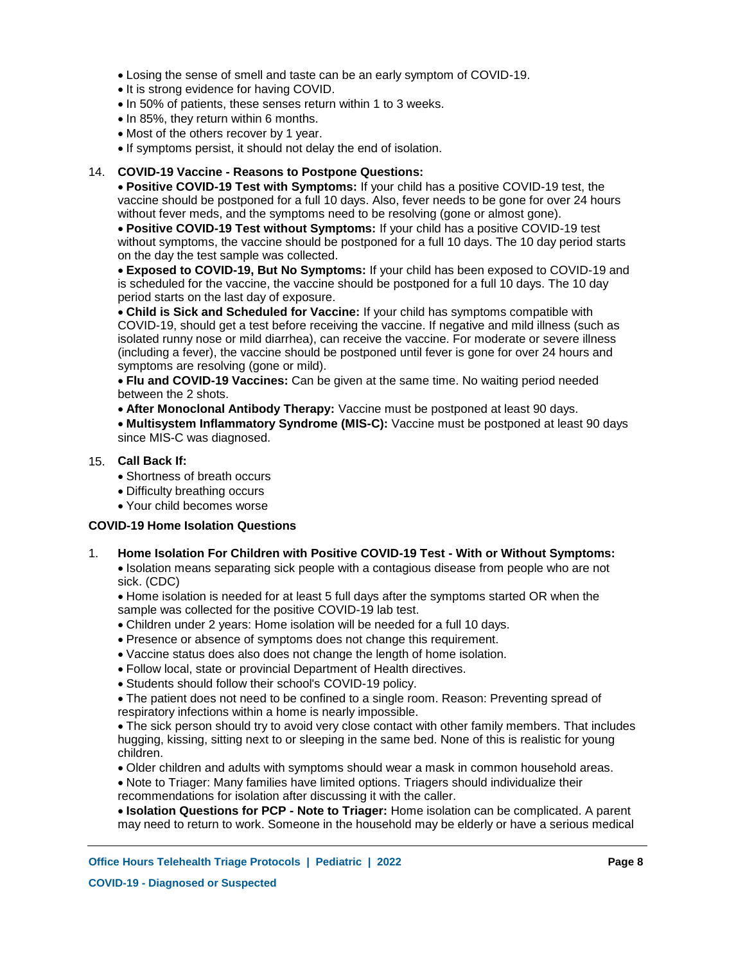- Losing the sense of smell and taste can be an early symptom of COVID-19.
- It is strong evidence for having COVID.
- In 50% of patients, these senses return within 1 to 3 weeks.
- $\bullet$  In 85%, they return within 6 months.
- Most of the others recover by 1 year.
- If symptoms persist, it should not delay the end of isolation.

## **COVID-19 Vaccine - Reasons to Postpone Questions:** 14.

**Positive COVID-19 Test with Symptoms:** If your child has a positive COVID-19 test, the vaccine should be postponed for a full 10 days. Also, fever needs to be gone for over 24 hours without fever meds, and the symptoms need to be resolving (gone or almost gone).

**Positive COVID-19 Test without Symptoms:** If your child has a positive COVID-19 test without symptoms, the vaccine should be postponed for a full 10 days. The 10 day period starts on the day the test sample was collected.

**Exposed to COVID-19, But No Symptoms:** If your child has been exposed to COVID-19 and is scheduled for the vaccine, the vaccine should be postponed for a full 10 days. The 10 day period starts on the last day of exposure.

**Child is Sick and Scheduled for Vaccine:** If your child has symptoms compatible with COVID-19, should get a test before receiving the vaccine. If negative and mild illness (such as isolated runny nose or mild diarrhea), can receive the vaccine. For moderate or severe illness (including a fever), the vaccine should be postponed until fever is gone for over 24 hours and symptoms are resolving (gone or mild).

**Flu and COVID-19 Vaccines:** Can be given at the same time. No waiting period needed between the 2 shots.

**After Monoclonal Antibody Therapy:** Vaccine must be postponed at least 90 days.

**Multisystem Inflammatory Syndrome (MIS-C):** Vaccine must be postponed at least 90 days since MIS-C was diagnosed.

### **Call Back If:** 15.

1.

- Shortness of breath occurs
- Difficulty breathing occurs
- Your child becomes worse

### **COVID-19 Home Isolation Questions**

**Home Isolation For Children with Positive COVID-19 Test - With or Without Symptoms:** Isolation means separating sick people with a contagious disease from people who are not sick. (CDC)

Home isolation is needed for at least 5 full days after the symptoms started OR when the sample was collected for the positive COVID-19 lab test.

- Children under 2 years: Home isolation will be needed for a full 10 days.
- Presence or absence of symptoms does not change this requirement.
- Vaccine status does also does not change the length of home isolation.
- Follow local, state or provincial Department of Health directives.
- Students should follow their school's COVID-19 policy.

The patient does not need to be confined to a single room. Reason: Preventing spread of respiratory infections within a home is nearly impossible.

The sick person should try to avoid very close contact with other family members. That includes hugging, kissing, sitting next to or sleeping in the same bed. None of this is realistic for young children.

- Older children and adults with symptoms should wear a mask in common household areas.
- Note to Triager: Many families have limited options. Triagers should individualize their recommendations for isolation after discussing it with the caller.

**Isolation Questions for PCP - Note to Triager:** Home isolation can be complicated. A parent may need to return to work. Someone in the household may be elderly or have a serious medical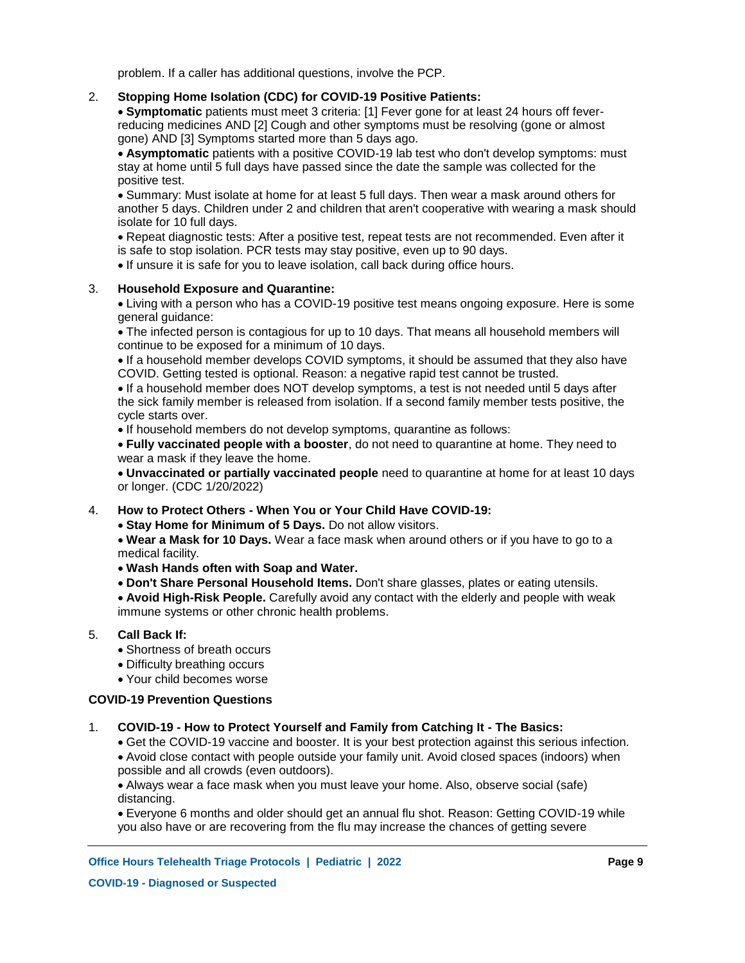problem. If a caller has additional questions, involve the PCP.

#### **Stopping Home Isolation (CDC) for COVID-19 Positive Patients:** 2.

**Symptomatic** patients must meet 3 criteria: [1] Fever gone for at least 24 hours off feverreducing medicines AND [2] Cough and other symptoms must be resolving (gone or almost gone) AND [3] Symptoms started more than 5 days ago.

**Asymptomatic** patients with a positive COVID-19 lab test who don't develop symptoms: must stay at home until 5 full days have passed since the date the sample was collected for the positive test.

Summary: Must isolate at home for at least 5 full days. Then wear a mask around others for another 5 days. Children under 2 and children that aren't cooperative with wearing a mask should isolate for 10 full days.

Repeat diagnostic tests: After a positive test, repeat tests are not recommended. Even after it is safe to stop isolation. PCR tests may stay positive, even up to 90 days.

If unsure it is safe for you to leave isolation, call back during office hours.

#### **Household Exposure and Quarantine:** 3.

Living with a person who has a COVID-19 positive test means ongoing exposure. Here is some general guidance:

The infected person is contagious for up to 10 days. That means all household members will continue to be exposed for a minimum of 10 days.

• If a household member develops COVID symptoms, it should be assumed that they also have COVID. Getting tested is optional. Reason: a negative rapid test cannot be trusted.

If a household member does NOT develop symptoms, a test is not needed until 5 days after the sick family member is released from isolation. If a second family member tests positive, the cycle starts over.

If household members do not develop symptoms, quarantine as follows:

**Fully vaccinated people with a booster**, do not need to quarantine at home. They need to wear a mask if they leave the home.

**Unvaccinated or partially vaccinated people** need to quarantine at home for at least 10 days or longer. (CDC 1/20/2022)

#### **How to Protect Others - When You or Your Child Have COVID-19:** 4.

**Stay Home for Minimum of 5 Days.** Do not allow visitors.

**Wear a Mask for 10 Days.** Wear a face mask when around others or if you have to go to a medical facility.

**Wash Hands often with Soap and Water.**

**Don't Share Personal Household Items.** Don't share glasses, plates or eating utensils.

**Avoid High-Risk People.** Carefully avoid any contact with the elderly and people with weak immune systems or other chronic health problems.

#### **Call Back If:** 5.

- Shortness of breath occurs
- Difficulty breathing occurs
- Your child becomes worse

## **COVID-19 Prevention Questions**

#### **COVID-19 - How to Protect Yourself and Family from Catching It - The Basics:** 1.

Get the COVID-19 vaccine and booster. It is your best protection against this serious infection.

Avoid close contact with people outside your family unit. Avoid closed spaces (indoors) when possible and all crowds (even outdoors).

Always wear a face mask when you must leave your home. Also, observe social (safe) distancing.

Everyone 6 months and older should get an annual flu shot. Reason: Getting COVID-19 while you also have or are recovering from the flu may increase the chances of getting severe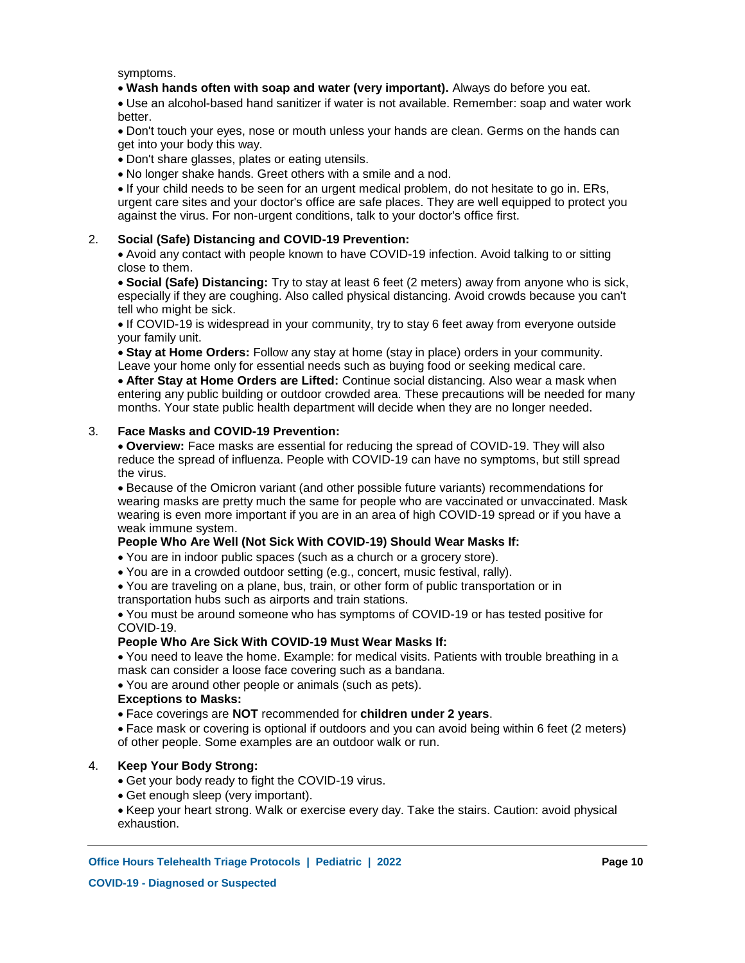symptoms.

**Wash hands often with soap and water (very important).** Always do before you eat.

Use an alcohol-based hand sanitizer if water is not available. Remember: soap and water work better.

Don't touch your eyes, nose or mouth unless your hands are clean. Germs on the hands can get into your body this way.

Don't share glasses, plates or eating utensils.

No longer shake hands. Greet others with a smile and a nod.

If your child needs to be seen for an urgent medical problem, do not hesitate to go in. ERs, urgent care sites and your doctor's office are safe places. They are well equipped to protect you against the virus. For non-urgent conditions, talk to your doctor's office first.

#### **Social (Safe) Distancing and COVID-19 Prevention:** 2.

Avoid any contact with people known to have COVID-19 infection. Avoid talking to or sitting close to them.

**Social (Safe) Distancing:** Try to stay at least 6 feet (2 meters) away from anyone who is sick, especially if they are coughing. Also called physical distancing. Avoid crowds because you can't tell who might be sick.

If COVID-19 is widespread in your community, try to stay 6 feet away from everyone outside your family unit.

**Stay at Home Orders:** Follow any stay at home (stay in place) orders in your community. Leave your home only for essential needs such as buying food or seeking medical care.

**After Stay at Home Orders are Lifted:** Continue social distancing. Also wear a mask when entering any public building or outdoor crowded area. These precautions will be needed for many months. Your state public health department will decide when they are no longer needed.

#### **Face Masks and COVID-19 Prevention:** 3.

**Overview:** Face masks are essential for reducing the spread of COVID-19. They will also reduce the spread of influenza. People with COVID-19 can have no symptoms, but still spread the virus.

Because of the Omicron variant (and other possible future variants) recommendations for wearing masks are pretty much the same for people who are vaccinated or unvaccinated. Mask wearing is even more important if you are in an area of high COVID-19 spread or if you have a weak immune system.

## **People Who Are Well (Not Sick With COVID-19) Should Wear Masks If:**

- You are in indoor public spaces (such as a church or a grocery store).
- You are in a crowded outdoor setting (e.g., concert, music festival, rally).

You are traveling on a plane, bus, train, or other form of public transportation or in transportation hubs such as airports and train stations.

You must be around someone who has symptoms of COVID-19 or has tested positive for COVID-19.

### **People Who Are Sick With COVID-19 Must Wear Masks If:**

You need to leave the home. Example: for medical visits. Patients with trouble breathing in a mask can consider a loose face covering such as a bandana.

You are around other people or animals (such as pets).

### **Exceptions to Masks:**

Face coverings are **NOT** recommended for **children under 2 years**.

Face mask or covering is optional if outdoors and you can avoid being within 6 feet (2 meters) of other people. Some examples are an outdoor walk or run.

#### **Keep Your Body Strong:** 4.

- Get your body ready to fight the COVID-19 virus.
- Get enough sleep (very important).

Keep your heart strong. Walk or exercise every day. Take the stairs. Caution: avoid physical exhaustion.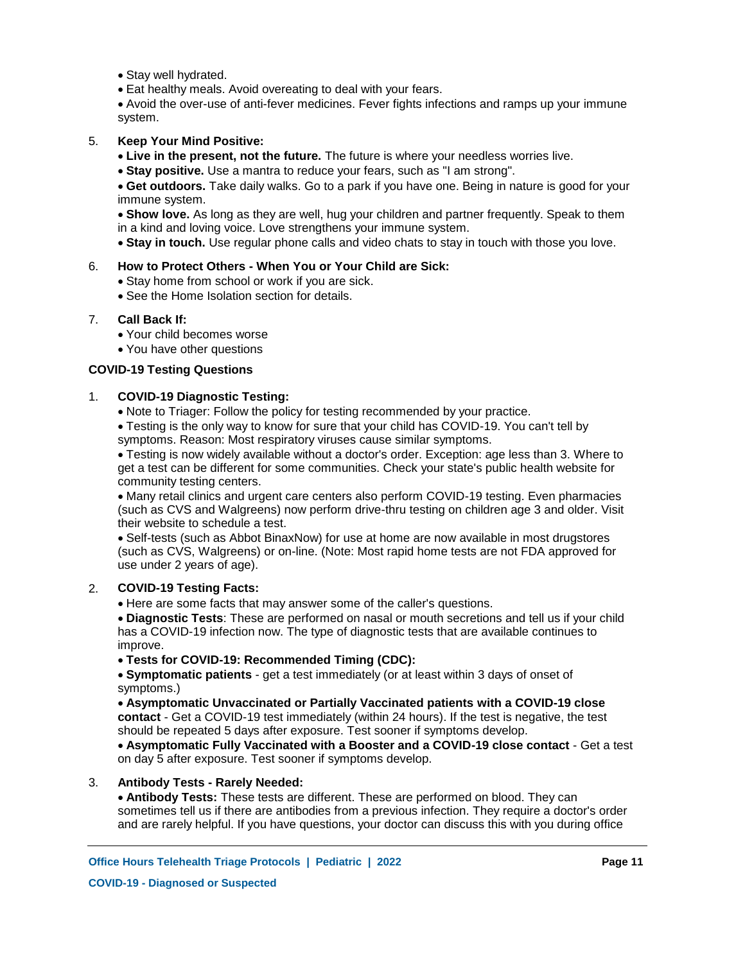- Stay well hydrated.
- Eat healthy meals. Avoid overeating to deal with your fears.

Avoid the over-use of anti-fever medicines. Fever fights infections and ramps up your immune system.

#### **Keep Your Mind Positive:** 5.

- **Live in the present, not the future.** The future is where your needless worries live.
- **Stay positive.** Use a mantra to reduce your fears, such as "I am strong".

**Get outdoors.** Take daily walks. Go to a park if you have one. Being in nature is good for your immune system.

**Show love.** As long as they are well, hug your children and partner frequently. Speak to them in a kind and loving voice. Love strengthens your immune system.

**Stay in touch.** Use regular phone calls and video chats to stay in touch with those you love.

#### **How to Protect Others - When You or Your Child are Sick:** 6.

- Stay home from school or work if you are sick.
- See the Home Isolation section for details.

#### **Call Back If:** 7.

- Your child becomes worse
- You have other questions

## **COVID-19 Testing Questions**

#### **COVID-19 Diagnostic Testing:** 1.

• Note to Triager: Follow the policy for testing recommended by your practice.

Testing is the only way to know for sure that your child has COVID-19. You can't tell by symptoms. Reason: Most respiratory viruses cause similar symptoms.

Testing is now widely available without a doctor's order. Exception: age less than 3. Where to get a test can be different for some communities. Check your state's public health website for community testing centers.

Many retail clinics and urgent care centers also perform COVID-19 testing. Even pharmacies (such as CVS and Walgreens) now perform drive-thru testing on children age 3 and older. Visit their website to schedule a test.

Self-tests (such as Abbot BinaxNow) for use at home are now available in most drugstores (such as CVS, Walgreens) or on-line. (Note: Most rapid home tests are not FDA approved for use under 2 years of age).

#### **COVID-19 Testing Facts:** 2.

Here are some facts that may answer some of the caller's questions.

**Diagnostic Tests**: These are performed on nasal or mouth secretions and tell us if your child has a COVID-19 infection now. The type of diagnostic tests that are available continues to improve.

## **Tests for COVID-19: Recommended Timing (CDC):**

**Symptomatic patients** - get a test immediately (or at least within 3 days of onset of symptoms.)

**Asymptomatic Unvaccinated or Partially Vaccinated patients with a COVID-19 close contact** - Get a COVID-19 test immediately (within 24 hours). If the test is negative, the test should be repeated 5 days after exposure. Test sooner if symptoms develop.

**Asymptomatic Fully Vaccinated with a Booster and a COVID-19 close contact** - Get a test on day 5 after exposure. Test sooner if symptoms develop.

#### **Antibody Tests - Rarely Needed:** 3.

**Antibody Tests:** These tests are different. These are performed on blood. They can sometimes tell us if there are antibodies from a previous infection. They require a doctor's order and are rarely helpful. If you have questions, your doctor can discuss this with you during office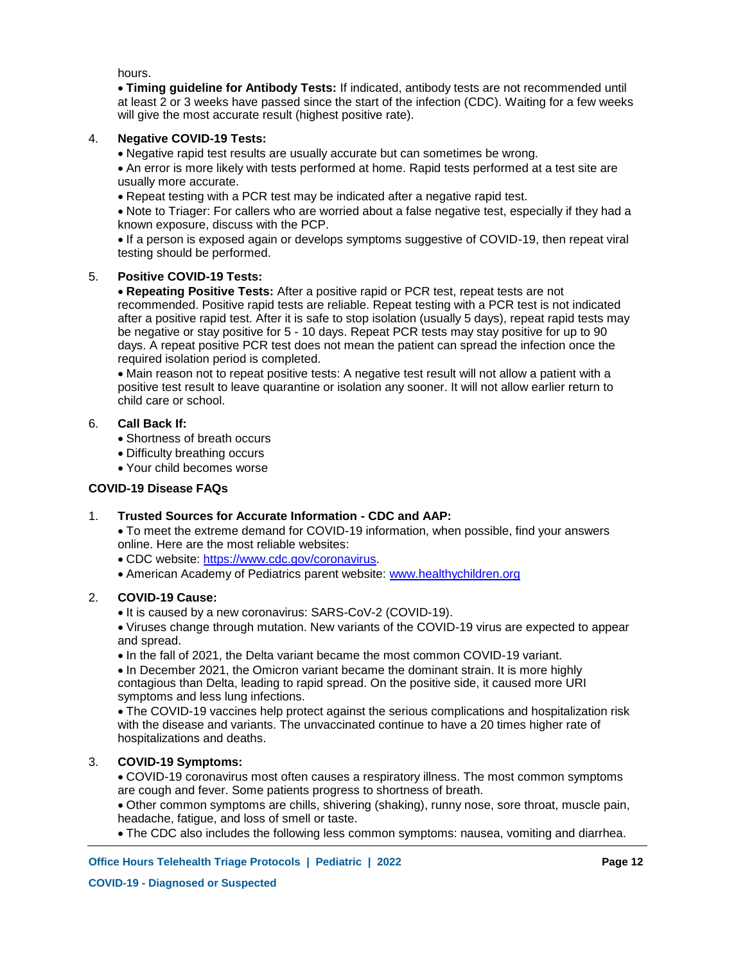hours.

**Timing guideline for Antibody Tests:** If indicated, antibody tests are not recommended until at least 2 or 3 weeks have passed since the start of the infection (CDC). Waiting for a few weeks will give the most accurate result (highest positive rate).

#### **Negative COVID-19 Tests:** 4.

Negative rapid test results are usually accurate but can sometimes be wrong.

An error is more likely with tests performed at home. Rapid tests performed at a test site are usually more accurate.

Repeat testing with a PCR test may be indicated after a negative rapid test.

Note to Triager: For callers who are worried about a false negative test, especially if they had a known exposure, discuss with the PCP.

If a person is exposed again or develops symptoms suggestive of COVID-19, then repeat viral testing should be performed.

#### **Positive COVID-19 Tests:** 5.

**Repeating Positive Tests:** After a positive rapid or PCR test, repeat tests are not recommended. Positive rapid tests are reliable. Repeat testing with a PCR test is not indicated after a positive rapid test. After it is safe to stop isolation (usually 5 days), repeat rapid tests may be negative or stay positive for 5 - 10 days. Repeat PCR tests may stay positive for up to 90 days. A repeat positive PCR test does not mean the patient can spread the infection once the required isolation period is completed.

Main reason not to repeat positive tests: A negative test result will not allow a patient with a positive test result to leave quarantine or isolation any sooner. It will not allow earlier return to child care or school.

#### **Call Back If:** 6.

• Shortness of breath occurs

- Difficulty breathing occurs
- Your child becomes worse

## **COVID-19 Disease FAQs**

#### **Trusted Sources for Accurate Information - CDC and AAP:** 1.

To meet the extreme demand for COVID-19 information, when possible, find your answers online. Here are the most reliable websites:

- CDC website: https://www.cdc.gov/coronavirus.
- American Academy of Pediatrics parent website: www.healthychildren.org

#### **COVID-19 Cause:** 2.

• It is caused by a new coronavirus: SARS-CoV-2 (COVID-19).

Viruses change through mutation. New variants of the COVID-19 virus are expected to appear and spread.

• In the fall of 2021, the Delta variant became the most common COVID-19 variant.

• In December 2021, the Omicron variant became the dominant strain. It is more highly contagious than Delta, leading to rapid spread. On the positive side, it caused more URI symptoms and less lung infections.

The COVID-19 vaccines help protect against the serious complications and hospitalization risk with the disease and variants. The unvaccinated continue to have a 20 times higher rate of hospitalizations and deaths.

#### **COVID-19 Symptoms:** 3.

COVID-19 coronavirus most often causes a respiratory illness. The most common symptoms are cough and fever. Some patients progress to shortness of breath.

Other common symptoms are chills, shivering (shaking), runny nose, sore throat, muscle pain, headache, fatigue, and loss of smell or taste.

The CDC also includes the following less common symptoms: nausea, vomiting and diarrhea.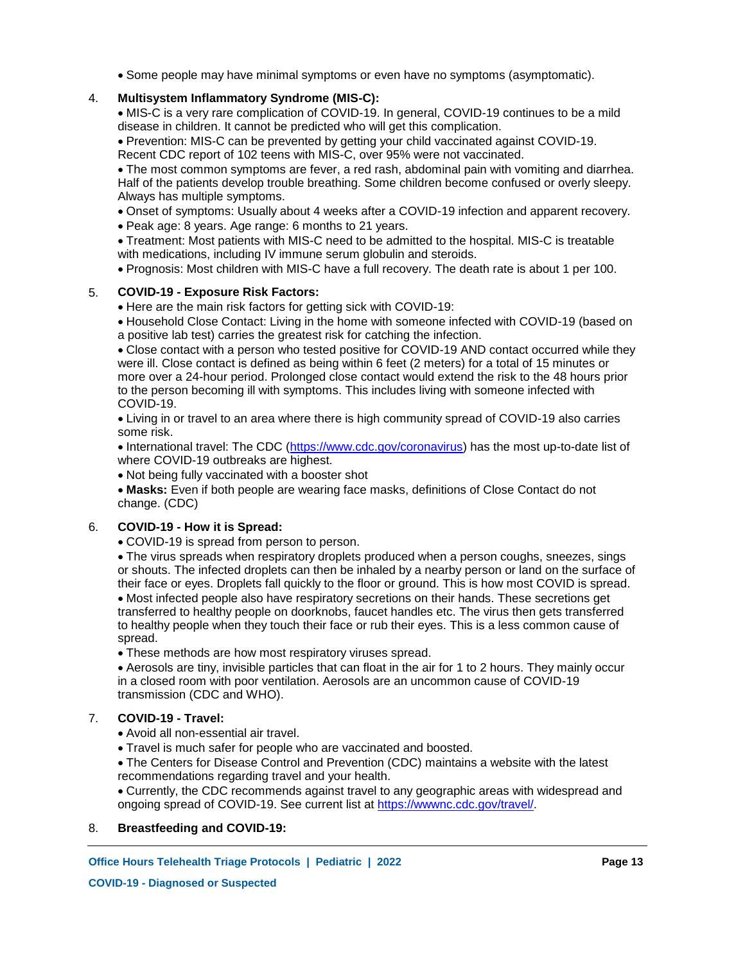Some people may have minimal symptoms or even have no symptoms (asymptomatic).

#### **Multisystem Inflammatory Syndrome (MIS-C):** 4.

MIS-C is a very rare complication of COVID-19. In general, COVID-19 continues to be a mild disease in children. It cannot be predicted who will get this complication.

Prevention: MIS-C can be prevented by getting your child vaccinated against COVID-19. Recent CDC report of 102 teens with MIS-C, over 95% were not vaccinated.

The most common symptoms are fever, a red rash, abdominal pain with vomiting and diarrhea. Half of the patients develop trouble breathing. Some children become confused or overly sleepy. Always has multiple symptoms.

- Onset of symptoms: Usually about 4 weeks after a COVID-19 infection and apparent recovery.
- Peak age: 8 years. Age range: 6 months to 21 years.

Treatment: Most patients with MIS-C need to be admitted to the hospital. MIS-C is treatable with medications, including IV immune serum globulin and steroids.

Prognosis: Most children with MIS-C have a full recovery. The death rate is about 1 per 100.

#### **COVID-19 - Exposure Risk Factors:** 5.

• Here are the main risk factors for getting sick with COVID-19:

Household Close Contact: Living in the home with someone infected with COVID-19 (based on a positive lab test) carries the greatest risk for catching the infection.

Close contact with a person who tested positive for COVID-19 AND contact occurred while they were ill. Close contact is defined as being within 6 feet (2 meters) for a total of 15 minutes or more over a 24-hour period. Prolonged close contact would extend the risk to the 48 hours prior to the person becoming ill with symptoms. This includes living with someone infected with COVID-19.

Living in or travel to an area where there is high community spread of COVID-19 also carries some risk.

• International travel: The CDC (https://www.cdc.gov/coronavirus) has the most up-to-date list of where COVID-19 outbreaks are highest.

• Not being fully vaccinated with a booster shot

**Masks:** Even if both people are wearing face masks, definitions of Close Contact do not change. (CDC)

#### **COVID-19 - How it is Spread:** 6.

COVID-19 is spread from person to person.

The virus spreads when respiratory droplets produced when a person coughs, sneezes, sings or shouts. The infected droplets can then be inhaled by a nearby person or land on the surface of their face or eyes. Droplets fall quickly to the floor or ground. This is how most COVID is spread.

Most infected people also have respiratory secretions on their hands. These secretions get transferred to healthy people on doorknobs, faucet handles etc. The virus then gets transferred to healthy people when they touch their face or rub their eyes. This is a less common cause of spread.

These methods are how most respiratory viruses spread.

Aerosols are tiny, invisible particles that can float in the air for 1 to 2 hours. They mainly occur in a closed room with poor ventilation. Aerosols are an uncommon cause of COVID-19 transmission (CDC and WHO).

#### **COVID-19 - Travel:** 7.

Avoid all non-essential air travel.

Travel is much safer for people who are vaccinated and boosted.

The Centers for Disease Control and Prevention (CDC) maintains a website with the latest recommendations regarding travel and your health.

Currently, the CDC recommends against travel to any geographic areas with widespread and ongoing spread of COVID-19. See current list at https://wwwnc.cdc.gov/travel/.

## 8. **Breastfeeding and COVID-19:**

**Office Hours Telehealth Triage Protocols | Pediatric | 2022 Page 13**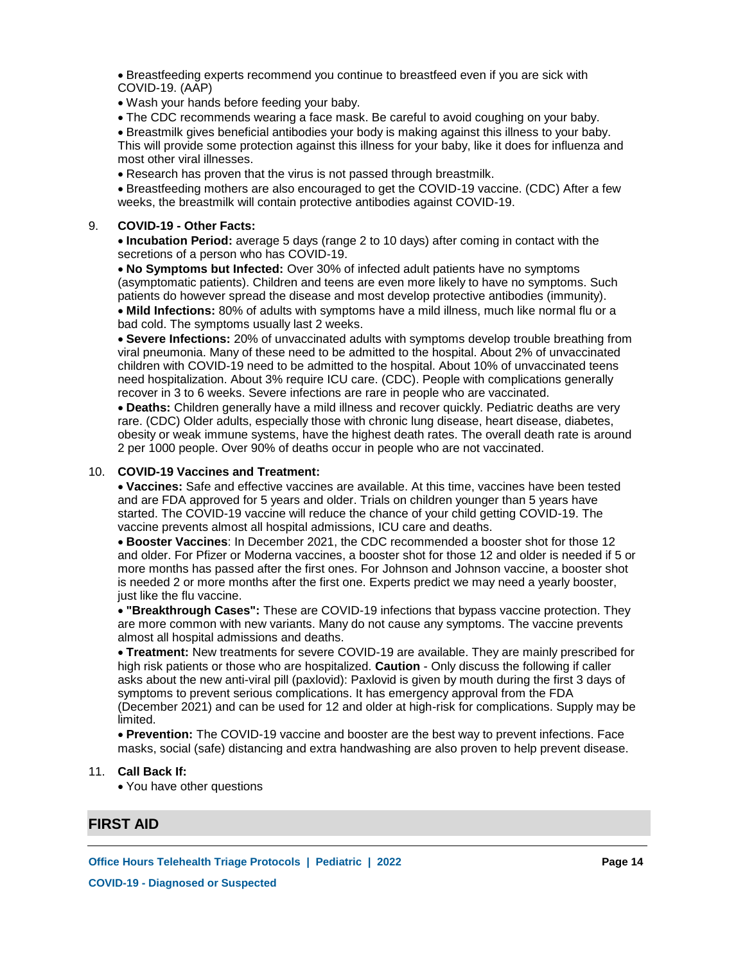Breastfeeding experts recommend you continue to breastfeed even if you are sick with COVID-19. (AAP)

Wash your hands before feeding your baby.

The CDC recommends wearing a face mask. Be careful to avoid coughing on your baby.

Breastmilk gives beneficial antibodies your body is making against this illness to your baby. This will provide some protection against this illness for your baby, like it does for influenza and most other viral illnesses.

Research has proven that the virus is not passed through breastmilk.

Breastfeeding mothers are also encouraged to get the COVID-19 vaccine. (CDC) After a few weeks, the breastmilk will contain protective antibodies against COVID-19.

#### **COVID-19 - Other Facts:** 9.

**Incubation Period:** average 5 days (range 2 to 10 days) after coming in contact with the secretions of a person who has COVID-19.

**No Symptoms but Infected:** Over 30% of infected adult patients have no symptoms (asymptomatic patients). Children and teens are even more likely to have no symptoms. Such patients do however spread the disease and most develop protective antibodies (immunity).

**Mild Infections:** 80% of adults with symptoms have a mild illness, much like normal flu or a bad cold. The symptoms usually last 2 weeks.

**Severe Infections:** 20% of unvaccinated adults with symptoms develop trouble breathing from viral pneumonia. Many of these need to be admitted to the hospital. About 2% of unvaccinated children with COVID-19 need to be admitted to the hospital. About 10% of unvaccinated teens need hospitalization. About 3% require ICU care. (CDC). People with complications generally recover in 3 to 6 weeks. Severe infections are rare in people who are vaccinated.

**Deaths:** Children generally have a mild illness and recover quickly. Pediatric deaths are very rare. (CDC) Older adults, especially those with chronic lung disease, heart disease, diabetes, obesity or weak immune systems, have the highest death rates. The overall death rate is around 2 per 1000 people. Over 90% of deaths occur in people who are not vaccinated.

## **COVID-19 Vaccines and Treatment:** 10.

**Vaccines:** Safe and effective vaccines are available. At this time, vaccines have been tested and are FDA approved for 5 years and older. Trials on children younger than 5 years have started. The COVID-19 vaccine will reduce the chance of your child getting COVID-19. The vaccine prevents almost all hospital admissions, ICU care and deaths.

**Booster Vaccines**: In December 2021, the CDC recommended a booster shot for those 12 and older. For Pfizer or Moderna vaccines, a booster shot for those 12 and older is needed if 5 or more months has passed after the first ones. For Johnson and Johnson vaccine, a booster shot is needed 2 or more months after the first one. Experts predict we may need a yearly booster, just like the flu vaccine.

**"Breakthrough Cases":** These are COVID-19 infections that bypass vaccine protection. They are more common with new variants. Many do not cause any symptoms. The vaccine prevents almost all hospital admissions and deaths.

**Treatment:** New treatments for severe COVID-19 are available. They are mainly prescribed for high risk patients or those who are hospitalized. **Caution** - Only discuss the following if caller asks about the new anti-viral pill (paxlovid): Paxlovid is given by mouth during the first 3 days of symptoms to prevent serious complications. It has emergency approval from the FDA (December 2021) and can be used for 12 and older at high-risk for complications. Supply may be limited.

**Prevention:** The COVID-19 vaccine and booster are the best way to prevent infections. Face masks, social (safe) distancing and extra handwashing are also proven to help prevent disease.

### **Call Back If:** 11.

You have other questions

## **FIRST AID**

**Office Hours Telehealth Triage Protocols | Pediatric | 2022 Page 14**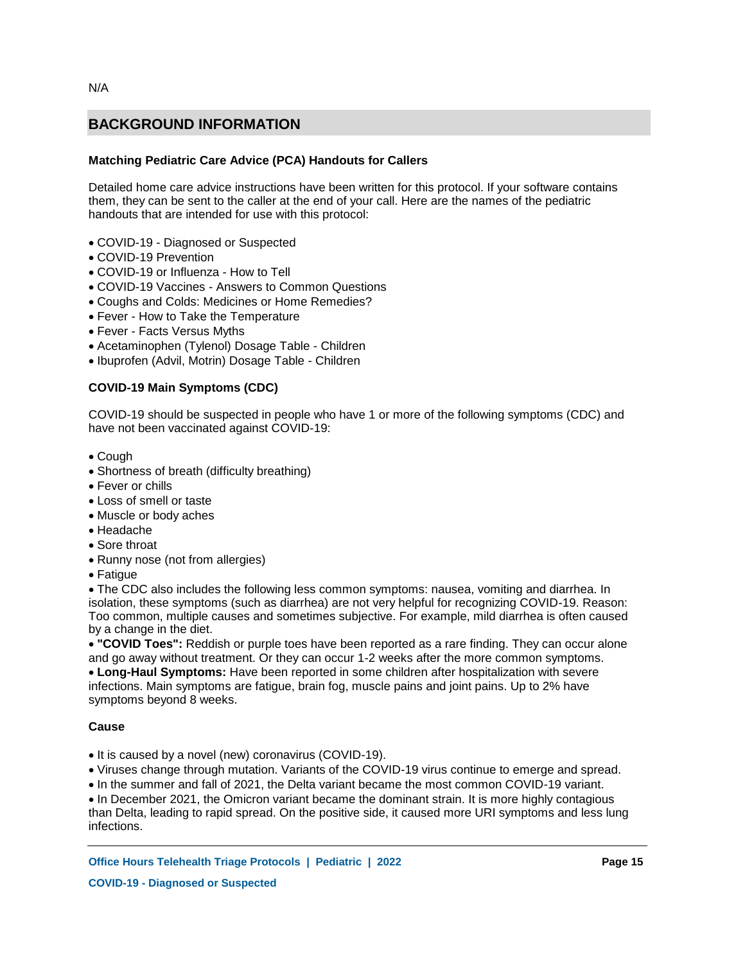## **Matching Pediatric Care Advice (PCA) Handouts for Callers**

Detailed home care advice instructions have been written for this protocol. If your software contains them, they can be sent to the caller at the end of your call. Here are the names of the pediatric handouts that are intended for use with this protocol:

- COVID-19 Diagnosed or Suspected
- COVID-19 Prevention
- COVID-19 or Influenza How to Tell
- COVID-19 Vaccines Answers to Common Questions
- Coughs and Colds: Medicines or Home Remedies?
- Fever How to Take the Temperature
- Fever Facts Versus Myths
- Acetaminophen (Tylenol) Dosage Table Children
- Ibuprofen (Advil, Motrin) Dosage Table Children

## **COVID-19 Main Symptoms (CDC)**

COVID-19 should be suspected in people who have 1 or more of the following symptoms (CDC) and have not been vaccinated against COVID-19:

- Cough
- Shortness of breath (difficulty breathing)
- Fever or chills
- Loss of smell or taste
- Muscle or body aches
- Headache
- Sore throat
- Runny nose (not from allergies)
- Fatique

The CDC also includes the following less common symptoms: nausea, vomiting and diarrhea. In isolation, these symptoms (such as diarrhea) are not very helpful for recognizing COVID-19. Reason: Too common, multiple causes and sometimes subjective. For example, mild diarrhea is often caused by a change in the diet.

**"COVID Toes":** Reddish or purple toes have been reported as a rare finding. They can occur alone and go away without treatment. Or they can occur 1-2 weeks after the more common symptoms. **Long-Haul Symptoms:** Have been reported in some children after hospitalization with severe infections. Main symptoms are fatigue, brain fog, muscle pains and joint pains. Up to 2% have symptoms beyond 8 weeks.

### **Cause**

- It is caused by a novel (new) coronavirus (COVID-19).
- Viruses change through mutation. Variants of the COVID-19 virus continue to emerge and spread.
- In the summer and fall of 2021, the Delta variant became the most common COVID-19 variant.

• In December 2021, the Omicron variant became the dominant strain. It is more highly contagious than Delta, leading to rapid spread. On the positive side, it caused more URI symptoms and less lung infections.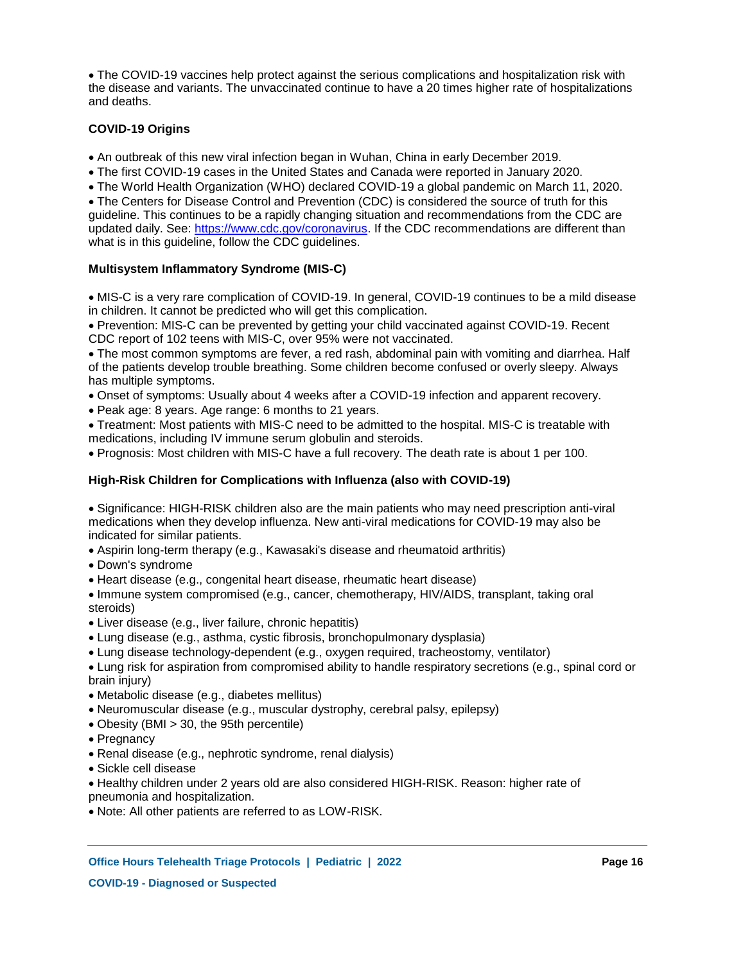The COVID-19 vaccines help protect against the serious complications and hospitalization risk with the disease and variants. The unvaccinated continue to have a 20 times higher rate of hospitalizations and deaths.

### **COVID-19 Origins**

- An outbreak of this new viral infection began in Wuhan, China in early December 2019.
- The first COVID-19 cases in the United States and Canada were reported in January 2020.
- The World Health Organization (WHO) declared COVID-19 a global pandemic on March 11, 2020.

The Centers for Disease Control and Prevention (CDC) is considered the source of truth for this guideline. This continues to be a rapidly changing situation and recommendations from the CDC are updated daily. See: https://www.cdc.gov/coronavirus. If the CDC recommendations are different than what is in this guideline, follow the CDC guidelines.

## **Multisystem Inflammatory Syndrome (MIS-C)**

MIS-C is a very rare complication of COVID-19. In general, COVID-19 continues to be a mild disease in children. It cannot be predicted who will get this complication.

Prevention: MIS-C can be prevented by getting your child vaccinated against COVID-19. Recent CDC report of 102 teens with MIS-C, over 95% were not vaccinated.

The most common symptoms are fever, a red rash, abdominal pain with vomiting and diarrhea. Half of the patients develop trouble breathing. Some children become confused or overly sleepy. Always has multiple symptoms.

Onset of symptoms: Usually about 4 weeks after a COVID-19 infection and apparent recovery.

Peak age: 8 years. Age range: 6 months to 21 years.

Treatment: Most patients with MIS-C need to be admitted to the hospital. MIS-C is treatable with medications, including IV immune serum globulin and steroids.

Prognosis: Most children with MIS-C have a full recovery. The death rate is about 1 per 100.

## **High-Risk Children for Complications with Influenza (also with COVID-19)**

Significance: HIGH-RISK children also are the main patients who may need prescription anti-viral medications when they develop influenza. New anti-viral medications for COVID-19 may also be indicated for similar patients.

- Aspirin long-term therapy (e.g., Kawasaki's disease and rheumatoid arthritis)
- Down's syndrome
- Heart disease (e.g., congenital heart disease, rheumatic heart disease)

• Immune system compromised (e.g., cancer, chemotherapy, HIV/AIDS, transplant, taking oral steroids)

- Liver disease (e.g., liver failure, chronic hepatitis)
- Lung disease (e.g., asthma, cystic fibrosis, bronchopulmonary dysplasia)
- Lung disease technology-dependent (e.g., oxygen required, tracheostomy, ventilator)

Lung risk for aspiration from compromised ability to handle respiratory secretions (e.g., spinal cord or brain injury)

- Metabolic disease (e.g., diabetes mellitus)
- Neuromuscular disease (e.g., muscular dystrophy, cerebral palsy, epilepsy)
- Obesity (BMI > 30, the 95th percentile)
- Pregnancy
- Renal disease (e.g., nephrotic syndrome, renal dialysis)
- Sickle cell disease

Healthy children under 2 years old are also considered HIGH-RISK. Reason: higher rate of pneumonia and hospitalization.

Note: All other patients are referred to as LOW-RISK.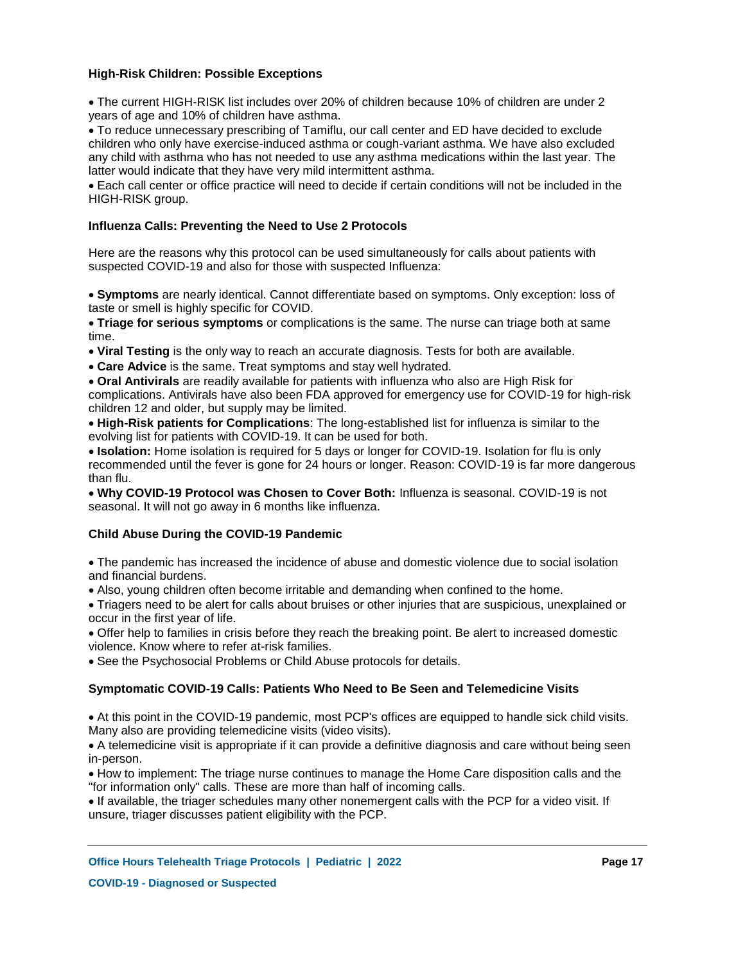## **High-Risk Children: Possible Exceptions**

The current HIGH-RISK list includes over 20% of children because 10% of children are under 2 years of age and 10% of children have asthma.

To reduce unnecessary prescribing of Tamiflu, our call center and ED have decided to exclude children who only have exercise-induced asthma or cough-variant asthma. We have also excluded any child with asthma who has not needed to use any asthma medications within the last year. The latter would indicate that they have very mild intermittent asthma.

Each call center or office practice will need to decide if certain conditions will not be included in the HIGH-RISK group.

### **Influenza Calls: Preventing the Need to Use 2 Protocols**

Here are the reasons why this protocol can be used simultaneously for calls about patients with suspected COVID-19 and also for those with suspected Influenza:

**Symptoms** are nearly identical. Cannot differentiate based on symptoms. Only exception: loss of taste or smell is highly specific for COVID.

**Triage for serious symptoms** or complications is the same. The nurse can triage both at same time.

**Viral Testing** is the only way to reach an accurate diagnosis. Tests for both are available.

**Care Advice** is the same. Treat symptoms and stay well hydrated.

**Oral Antivirals** are readily available for patients with influenza who also are High Risk for complications. Antivirals have also been FDA approved for emergency use for COVID-19 for high-risk children 12 and older, but supply may be limited.

**High-Risk patients for Complications**: The long-established list for influenza is similar to the evolving list for patients with COVID-19. It can be used for both.

**Isolation:** Home isolation is required for 5 days or longer for COVID-19. Isolation for flu is only recommended until the fever is gone for 24 hours or longer. Reason: COVID-19 is far more dangerous than flu.

**Why COVID-19 Protocol was Chosen to Cover Both:** Influenza is seasonal. COVID-19 is not seasonal. It will not go away in 6 months like influenza.

### **Child Abuse During the COVID-19 Pandemic**

The pandemic has increased the incidence of abuse and domestic violence due to social isolation and financial burdens.

Also, young children often become irritable and demanding when confined to the home.

Triagers need to be alert for calls about bruises or other injuries that are suspicious, unexplained or occur in the first year of life.

Offer help to families in crisis before they reach the breaking point. Be alert to increased domestic violence. Know where to refer at-risk families.

See the Psychosocial Problems or Child Abuse protocols for details.

### **Symptomatic COVID-19 Calls: Patients Who Need to Be Seen and Telemedicine Visits**

At this point in the COVID-19 pandemic, most PCP's offices are equipped to handle sick child visits. Many also are providing telemedicine visits (video visits).

A telemedicine visit is appropriate if it can provide a definitive diagnosis and care without being seen in-person.

How to implement: The triage nurse continues to manage the Home Care disposition calls and the "for information only" calls. These are more than half of incoming calls.

If available, the triager schedules many other nonemergent calls with the PCP for a video visit. If unsure, triager discusses patient eligibility with the PCP.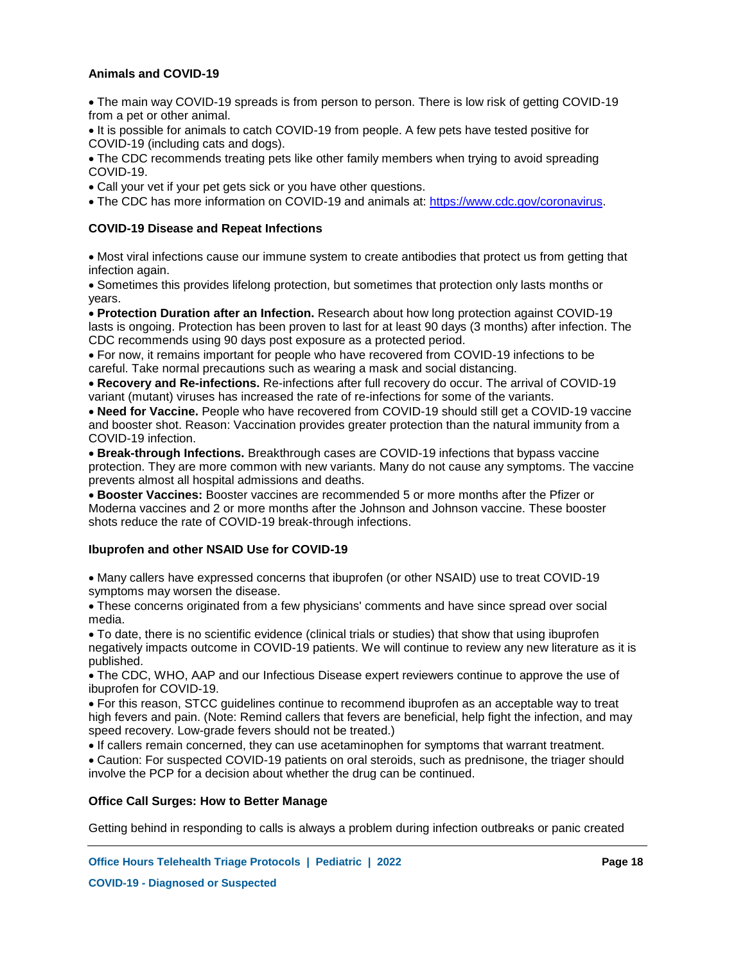## **Animals and COVID-19**

The main way COVID-19 spreads is from person to person. There is low risk of getting COVID-19 from a pet or other animal.

• It is possible for animals to catch COVID-19 from people. A few pets have tested positive for COVID-19 (including cats and dogs).

The CDC recommends treating pets like other family members when trying to avoid spreading COVID-19.

Call your vet if your pet gets sick or you have other questions.

The CDC has more information on COVID-19 and animals at: https://www.cdc.gov/coronavirus.

### **COVID-19 Disease and Repeat Infections**

Most viral infections cause our immune system to create antibodies that protect us from getting that infection again.

Sometimes this provides lifelong protection, but sometimes that protection only lasts months or years.

**Protection Duration after an Infection.** Research about how long protection against COVID-19 lasts is ongoing. Protection has been proven to last for at least 90 days (3 months) after infection. The CDC recommends using 90 days post exposure as a protected period.

For now, it remains important for people who have recovered from COVID-19 infections to be careful. Take normal precautions such as wearing a mask and social distancing.

**Recovery and Re-infections.** Re-infections after full recovery do occur. The arrival of COVID-19 variant (mutant) viruses has increased the rate of re-infections for some of the variants.

**Need for Vaccine.** People who have recovered from COVID-19 should still get a COVID-19 vaccine and booster shot. Reason: Vaccination provides greater protection than the natural immunity from a COVID-19 infection.

**Break-through Infections.** Breakthrough cases are COVID-19 infections that bypass vaccine protection. They are more common with new variants. Many do not cause any symptoms. The vaccine prevents almost all hospital admissions and deaths.

**Booster Vaccines:** Booster vaccines are recommended 5 or more months after the Pfizer or Moderna vaccines and 2 or more months after the Johnson and Johnson vaccine. These booster shots reduce the rate of COVID-19 break-through infections.

### **Ibuprofen and other NSAID Use for COVID-19**

Many callers have expressed concerns that ibuprofen (or other NSAID) use to treat COVID-19 symptoms may worsen the disease.

These concerns originated from a few physicians' comments and have since spread over social media.

To date, there is no scientific evidence (clinical trials or studies) that show that using ibuprofen negatively impacts outcome in COVID-19 patients. We will continue to review any new literature as it is published.

The CDC, WHO, AAP and our Infectious Disease expert reviewers continue to approve the use of ibuprofen for COVID-19.

For this reason, STCC guidelines continue to recommend ibuprofen as an acceptable way to treat high fevers and pain. (Note: Remind callers that fevers are beneficial, help fight the infection, and may speed recovery. Low-grade fevers should not be treated.)

If callers remain concerned, they can use acetaminophen for symptoms that warrant treatment.

Caution: For suspected COVID-19 patients on oral steroids, such as prednisone, the triager should involve the PCP for a decision about whether the drug can be continued.

### **Office Call Surges: How to Better Manage**

Getting behind in responding to calls is always a problem during infection outbreaks or panic created

**Office Hours Telehealth Triage Protocols | Pediatric | 2022 Page 18**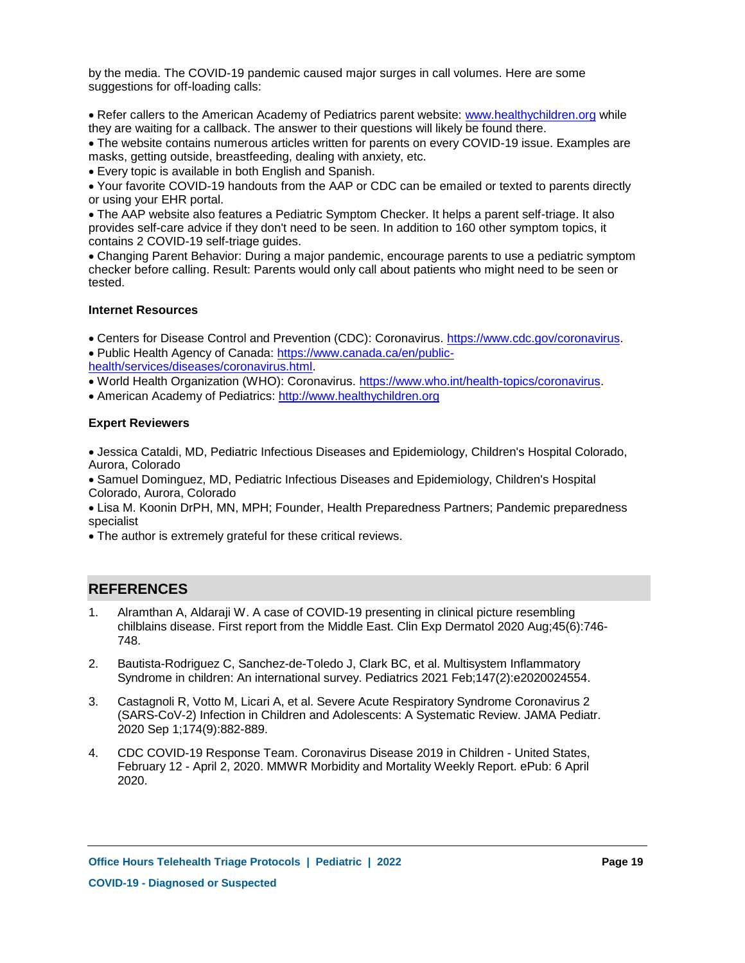by the media. The COVID-19 pandemic caused major surges in call volumes. Here are some suggestions for off-loading calls:

• Refer callers to the American Academy of Pediatrics parent website: www.healthychildren.org while they are waiting for a callback. The answer to their questions will likely be found there.

The website contains numerous articles written for parents on every COVID-19 issue. Examples are masks, getting outside, breastfeeding, dealing with anxiety, etc.

Every topic is available in both English and Spanish.

Your favorite COVID-19 handouts from the AAP or CDC can be emailed or texted to parents directly or using your EHR portal.

The AAP website also features a Pediatric Symptom Checker. It helps a parent self-triage. It also provides self-care advice if they don't need to be seen. In addition to 160 other symptom topics, it contains 2 COVID-19 self-triage guides.

Changing Parent Behavior: During a major pandemic, encourage parents to use a pediatric symptom checker before calling. Result: Parents would only call about patients who might need to be seen or tested.

## **Internet Resources**

Centers for Disease Control and Prevention (CDC): Coronavirus. https://www.cdc.gov/coronavirus. Public Health Agency of Canada: https://www.canada.ca/en/public-

health/services/diseases/coronavirus.html.

World Health Organization (WHO): Coronavirus. https://www.who.int/health-topics/coronavirus.

American Academy of Pediatrics: http://www.healthychildren.org

## **Expert Reviewers**

Jessica Cataldi, MD, Pediatric Infectious Diseases and Epidemiology, Children's Hospital Colorado, Aurora, Colorado

Samuel Dominguez, MD, Pediatric Infectious Diseases and Epidemiology, Children's Hospital Colorado, Aurora, Colorado

Lisa M. Koonin DrPH, MN, MPH; Founder, Health Preparedness Partners; Pandemic preparedness specialist

The author is extremely grateful for these critical reviews.

## **REFERENCES**

- Alramthan A, Aldaraji W. A case of COVID-19 presenting in clinical picture resembling chilblains disease. First report from the Middle East. Clin Exp Dermatol 2020 Aug;45(6):746- 748. 1.
- Bautista-Rodriguez C, Sanchez-de-Toledo J, Clark BC, et al. Multisystem Inflammatory Syndrome in children: An international survey. Pediatrics 2021 Feb;147(2):e2020024554. 2.
- Castagnoli R, Votto M, Licari A, et al. Severe Acute Respiratory Syndrome Coronavirus 2 (SARS-CoV-2) Infection in Children and Adolescents: A Systematic Review. JAMA Pediatr. 2020 Sep 1;174(9):882-889. 3.
- CDC COVID-19 Response Team. Coronavirus Disease 2019 in Children United States, February 12 - April 2, 2020. MMWR Morbidity and Mortality Weekly Report. ePub: 6 April 2020. 4.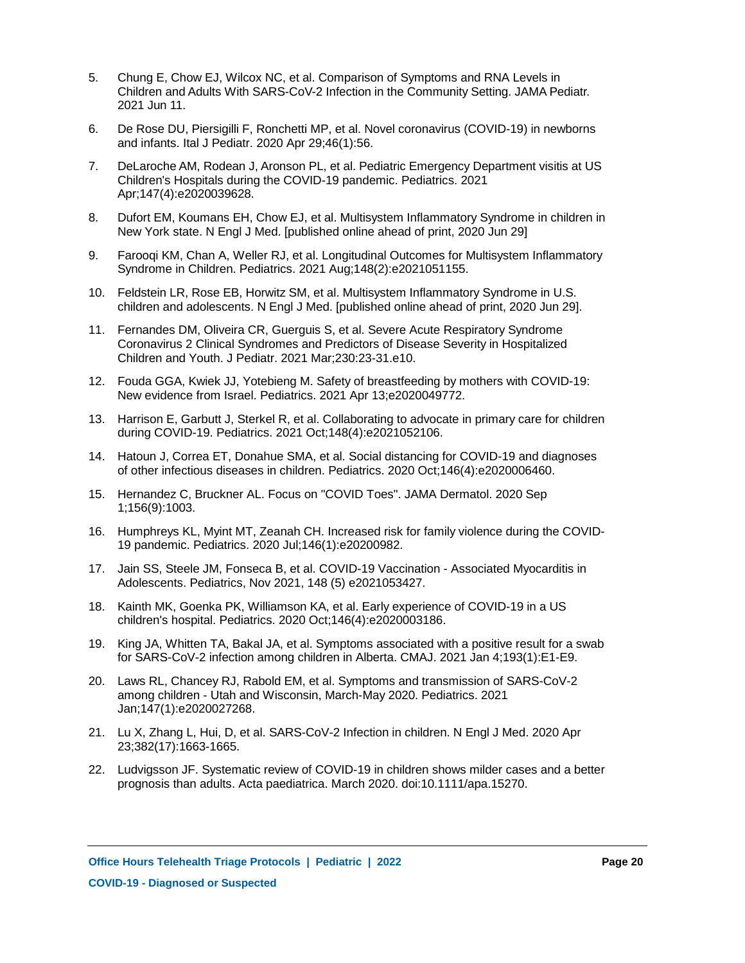- Chung E, Chow EJ, Wilcox NC, et al. Comparison of Symptoms and RNA Levels in Children and Adults With SARS-CoV-2 Infection in the Community Setting. JAMA Pediatr. 2021 Jun 11. 5.
- De Rose DU, Piersigilli F, Ronchetti MP, et al. Novel coronavirus (COVID-19) in newborns and infants. Ital J Pediatr. 2020 Apr 29;46(1):56. 6.
- DeLaroche AM, Rodean J, Aronson PL, et al. Pediatric Emergency Department visitis at US Children's Hospitals during the COVID-19 pandemic. Pediatrics. 2021 Apr;147(4):e2020039628. 7.
- Dufort EM, Koumans EH, Chow EJ, et al. Multisystem Inflammatory Syndrome in children in New York state. N Engl J Med. [published online ahead of print, 2020 Jun 29] 8.
- Farooqi KM, Chan A, Weller RJ, et al. Longitudinal Outcomes for Multisystem Inflammatory Syndrome in Children. Pediatrics. 2021 Aug;148(2):e2021051155. 9.
- Feldstein LR, Rose EB, Horwitz SM, et al. Multisystem Inflammatory Syndrome in U.S. 10. children and adolescents. N Engl J Med. [published online ahead of print, 2020 Jun 29].
- Fernandes DM, Oliveira CR, Guerguis S, et al. Severe Acute Respiratory Syndrome 11. Coronavirus 2 Clinical Syndromes and Predictors of Disease Severity in Hospitalized Children and Youth. J Pediatr. 2021 Mar;230:23-31.e10.
- Fouda GGA, Kwiek JJ, Yotebieng M. Safety of breastfeeding by mothers with COVID-19: 12. New evidence from Israel. Pediatrics. 2021 Apr 13;e2020049772.
- 13. Harrison E, Garbutt J, Sterkel R, et al. Collaborating to advocate in primary care for children during COVID-19. Pediatrics. 2021 Oct;148(4):e2021052106.
- 14. Hatoun J, Correa ET, Donahue SMA, et al. Social distancing for COVID-19 and diagnoses of other infectious diseases in children. Pediatrics. 2020 Oct;146(4):e2020006460.
- 15. Hernandez C, Bruckner AL. Focus on "COVID Toes". JAMA Dermatol. 2020 Sep 1;156(9):1003.
- 16. Humphreys KL, Myint MT, Zeanah CH. Increased risk for family violence during the COVID-19 pandemic. Pediatrics. 2020 Jul;146(1):e20200982.
- 17. Jain SS, Steele JM, Fonseca B, et al. COVID-19 Vaccination Associated Myocarditis in Adolescents. Pediatrics, Nov 2021, 148 (5) e2021053427.
- 18. Kainth MK, Goenka PK, Williamson KA, et al. Early experience of COVID-19 in a US children's hospital. Pediatrics. 2020 Oct;146(4):e2020003186.
- 19. King JA, Whitten TA, Bakal JA, et al. Symptoms associated with a positive result for a swab for SARS-CoV-2 infection among children in Alberta. CMAJ. 2021 Jan 4;193(1):E1-E9.
- Laws RL, Chancey RJ, Rabold EM, et al. Symptoms and transmission of SARS-CoV-2 20. among children - Utah and Wisconsin, March-May 2020. Pediatrics. 2021 Jan;147(1):e2020027268.
- 21. Lu X, Zhang L, Hui, D, et al. SARS-CoV-2 Infection in children. N Engl J Med. 2020 Apr 23;382(17):1663-1665.
- 22. Ludvigsson JF. Systematic review of COVID-19 in children shows milder cases and a better prognosis than adults. Acta paediatrica. March 2020. doi:10.1111/apa.15270.